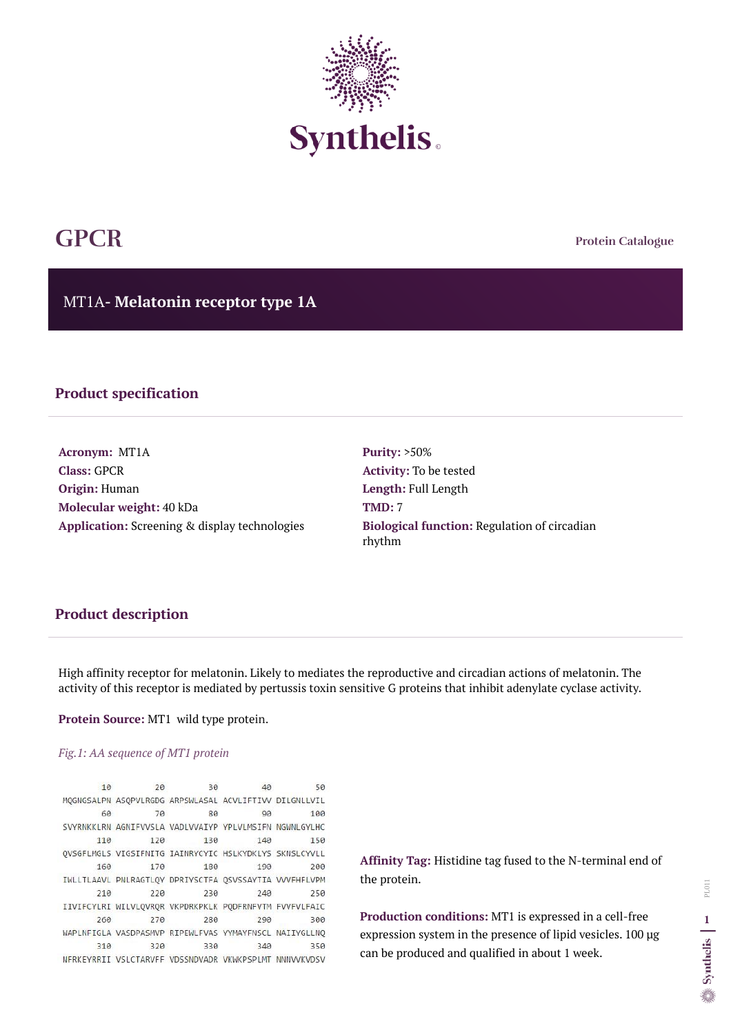**Protein Catalogue**

MT1A**- Melatonin receptor type 1A**



# **GPCR**

### **Product specification**

**Acronym:** MT1A **Class:** GPCR **Origin:** Human **Molecular weight:** 40 kDa **Application:** Screening & display technologies **Purity:** >50% **Activity:** To be tested **Length:** Full Length **TMD:** 7 **Biological function:** Regulation of circadian rhythm

# **Product description**

High affinity receptor for melatonin. Likely to mediates the reproductive and circadian actions of melatonin. The activity of this receptor is mediated by pertussis toxin sensitive G proteins that inhibit adenylate cyclase activity.

**Protein Source:** MT1 wild type protein.

#### *Fig.1: AA sequence of MT1 protein*

| 10                | 20  | 30                               | 40                                                     | 50         |
|-------------------|-----|----------------------------------|--------------------------------------------------------|------------|
|                   |     |                                  | MQGNGSALPN ASQPVLRGDG ARPSWLASAL ACVLIFTIVV DILGNLLVIL |            |
| 60                | 70  | 80                               | 90                                                     | 100        |
| <b>SVYRNKKLRN</b> |     | AGNIFVVSLA VADLVVAIYP YPLVLMSIFN |                                                        | NGWNLGYLHC |
| 110               | 120 | 130                              | 140                                                    | 150        |
|                   |     |                                  | QVSGFLMGLS VIGSIFNITG IAINRYCYIC HSLKYDKLYS SKNSLCYVLL |            |
| 160               | 170 | 180                              | 190                                                    | 200        |
|                   |     |                                  | IWLLTLAAVL PNLRAGTLQY DPRIYSCTFA QSVSSAYTIA VVVFHFLVPM |            |
| 210               | 220 | 230                              | 240                                                    | 250        |
|                   |     |                                  | IIVIFCYLRI WILVLQVRQR VKPDRKPKLK PQDFRNFVTM FVVFVLFAIC |            |
| 260               | 270 | 280                              | 290                                                    | 300        |
|                   |     |                                  | WAPLNFIGLA VASDPASMVP RIPEWLFVAS YYMAYFNSCL NAIIYGLLNO |            |
| 310               | 320 | 330                              | 340                                                    | 350        |
|                   |     |                                  | NFRKEYRRII VSLCTARVFF VDSSNDVADR VKWKPSPLMT            | NNNVVKVDSV |

**Affinity Tag:** Histidine tag fused to the N-terminal end of the protein.

**Production conditions:** MT1 is expressed in a cell-free expression system in the presence of lipid vesicles. 100 µg can be produced and qualified in about 1 week.